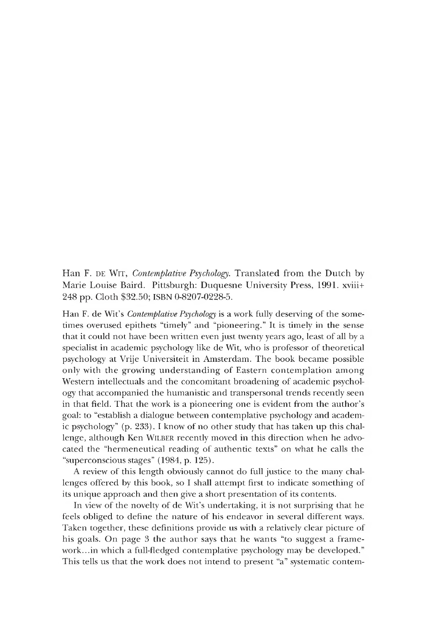Han F. DE WIT, *Contemplative Psychology*. Translated from the Dutch by Marie Louise Baird. Pittsburgh: Duquesne University Press, 1991. xviii+ 248 pp. Cloth \$32.50; ISBN 0-8207-0228-5.

Han F. de Wit's *Contemplative Psychology* is a work fully deserving of the sometimes overused epithets "timely" and "pioneering." It is timely in the sense that it could not have been written even just twenty years ago, least of all by a specialist in academic psychology like de Wit, who is professor of theoretical psychology at Vrije Universiteit in Amsterdam. The book became possible only with the growing understanding of Eastern contemplation among Western intellectuals and the concomitant broadening of academic psychology that accompanied the humanistic and transpersonal trends recently seen in that field. That the work is a pioneering one is evident from the author's goal: to "establish a dialogue between contemplative psychology and academic psychology" (p. 233). I know of no other study that has taken up this challenge, although Ken WILBER recently moved in this direction when he advocated the "hermeneutical reading of authentic texts" on what he calls the "superconscious stages" (1984, p. 125).

A review of this length obviously cannot do full justice to the many challenges offered by this book, so I shall attempt first to indicate something of its unique approach and then give a short presentation of its contents.

In view of the novelty of de Wit's undertaking, it is not surprising that he feels obliged to define the nature of his endeavor in several different ways. Taken together, these definitions provide us with a relatively clear picture of his goals. On page *3* the author says that he wants "to suggest a framework... in which a full-fledged contemplative psychology may be developed." This tells us that the work does not intend to present "a" systematic contem-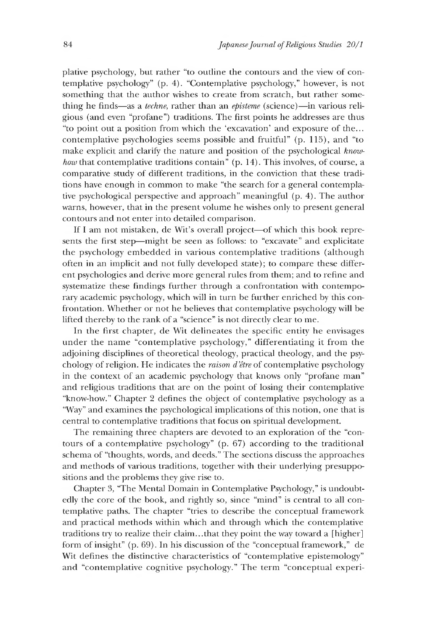plative psychology, but rather "to outline the contours and the view of contemplative psychology" (p. 4). "Contemplative psychology," however, is not something that the author wishes to create from scratch, but rather something he finds— as a *techne,* rather than an *episteme* (science)—in various religious (and even "profane") traditions. The first points he addresses are thus "to point out a position from which the 'excavation' and exposure of the... contemplative psychologies seems possible and fruitful" (p. 115), and "to make explicit and clarify the nature and position of the psychological *knowhow* that contemplative traditions contain<sup>"</sup> (p. 14). This involves, of course, a comparative study of different traditions, in the conviction that these traditions have enough in common to make "the search for a general contemplative psychological perspective and approach" meaningful (p. 4). The author warns, however, that in the present volume he wishes only to present general contours and not enter into detailed comparison.

If I am not mistaken, de Wit's overall project—of which this book represents the first step—might be seen as follows: to "excavate" and explicitate the psychology embedded in various contemplative traditions (although often in an implicit and not fully developed state); to compare these different psychologies and derive more general rules from them; and to refine and systematize these findings further through a confrontation with contemporary academic psychology, which will in turn be further enriched by this confrontation. Whether or not he believes that contemplative psychology will be lifted thereby to the rank of a "science" is not directly clear to me.

In the first chapter, de Wit delineates the specific entity he envisages under the name "contemplative psychology," differentiating it from the adjoining disciplines of theoretical theology, practical theology, and the psychology of religion. He indicates the *raison d'être* of contemplative psychology in the context of an academic psychology that knows only "profane man" and religious traditions that are on the point of losing their contemplative "know-how." Chapter 2 defines the object of contemplative psychology as a "Way" and examines the psychological implications of this notion, one that is central to contemplative traditions that focus on spiritual development.

The remaining three chapters are devoted to an exploration of the "contours of a contemplative psychology" (p. 67) according to the traditional schema of "thoughts, words, and deeds." The sections discuss the approaches and methods of various traditions, together with their underlying presuppositions and the problems they give rise to.

Chapter 3, "The Mental Domain in Contemplative Psychology," is undoubtedly the core of the book, and rightly so, since "mind" is central to all contemplative paths. The chapter "tries to describe the conceptual framework and practical methods within which and through which the contemplative traditions try to realize their claim...that they point the way toward a [higher] form of insight"  $(p. 69)$ . In his discussion of the "conceptual framework," de Wit defines the distinctive characteristics of "contemplative epistemology" and "contemplative cognitive psychology." The term "conceptual experi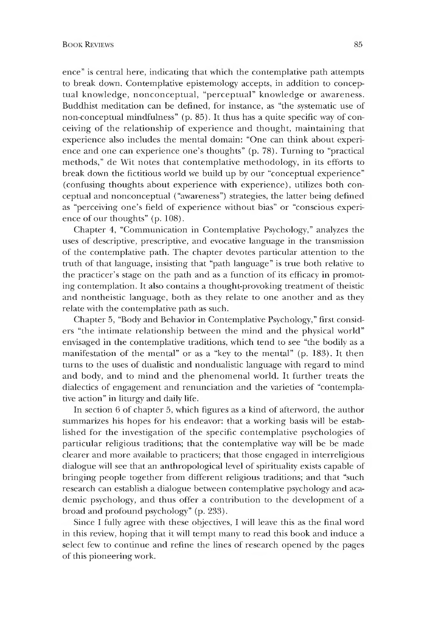ence" is central here, indicating that which the contemplative path attempts to break down. Contemplative epistemology accepts, in addition to conceptual knowledge, nonconceptual, "perceptual" knowledge or awareness. Buddhist meditation can be defined, for instance, as "the systematic use of non-conceptual mindfulness" (p. 85). It thus has a quite specific way of conceiving of the relationship of experience and thought, maintaining that experience also includes the mental domain: "One can think about experience and one can experience one's thoughts" (p. 78). Turning to "practical methods," de Wit notes that contemplative methodology, in its efforts to break down the fictitious world we build up by our "conceptual experience" (confusing thoughts about experience with experience), utilizes both conceptual and nonconceptual ("awareness") strategies, the latter being defined as "perceiving one's field of experience without bias" or "conscious experience of our thoughts" (p. 108).

Chapter 4, "Communication in Contemplative Psychology," analyzes the uses of descriptive, prescriptive, and evocative language in the transmission of the contemplative path. The chapter devotes particular attention to the truth of that language, insisting that "path language" is true both relative to the practicer's stage on the path and as a function of its efficacy in promoting contemplation. It also contains a thought-provoking treatment of theistic and nontheistic language, both as they relate to one another and as they relate with the contemplative path as such.

Chapter 5, "Body and Behavior in Contemplative Psychology," first considers "the intimate relationship between the mind and the physical world" envisaged in the contemplative traditions, which tend to see "the bodily as a manifestation of the mental" or as a "key to the mental" (p. 183). It then turns to the uses of dualistic and nondualistic language with regard to mind and body, and to mind and the phenomenal world. It further treats the dialectics of engagement and renunciation and the varieties of "contemplative action" in liturgy and daily life.

In section 6 of chapter 5,which figures as a kind of afterword, the author summarizes his hopes for his endeavor: that a working basis will be established for the investigation of the specific contemplative psychologies of particular religious traditions; that the contemplative way will be be made clearer and more available to practicers; that those engaged in interreligious dialogue will see that an anthropological level of spirituality exists capable of bringing people together from different religious traditions; and that "such research can establish a dialogue between contemplative psychology and academic psychology, and thus offer a contribution to the development of a broad and profound psychology" (p. 233).

Since I fully agree with these objectives, I will leave this as the final word in this review, hoping that it will tempt many to read this book and induce a select few to continue and refine the lines of research opened by the pages of this pioneering work.